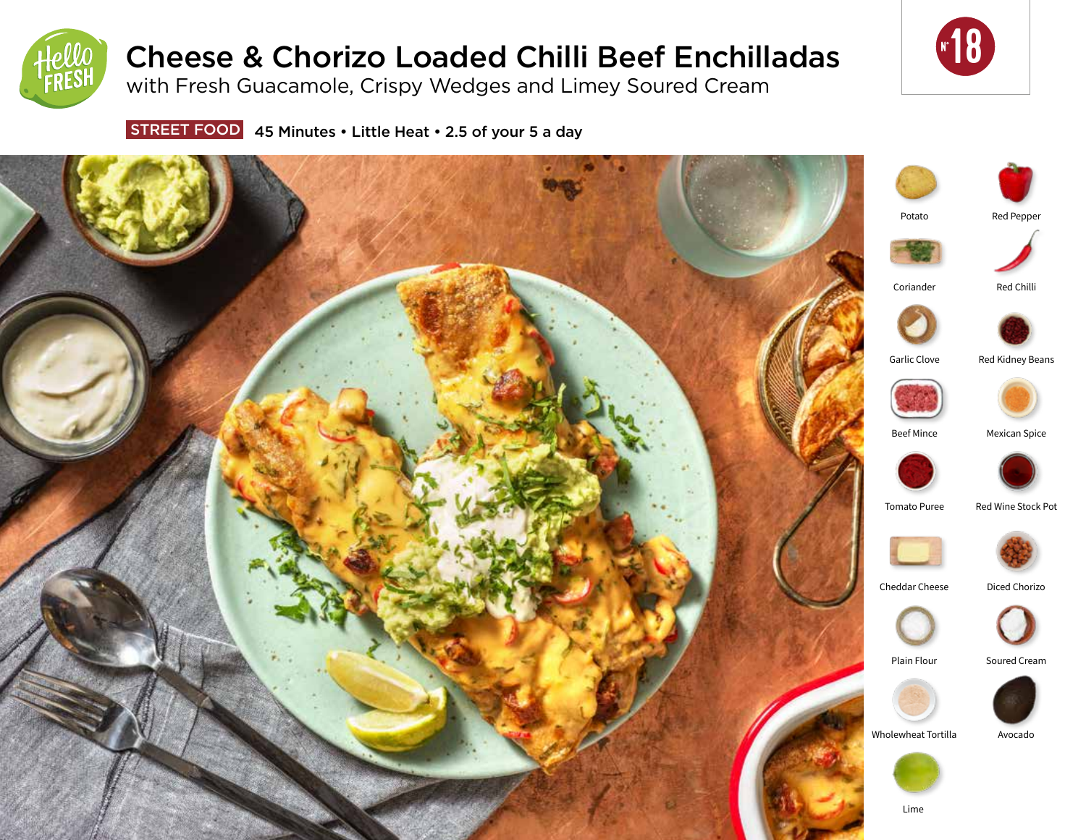

# Cheese & Chorizo Loaded Chilli Beef Enchilladas

with Fresh Guacamole, Crispy Wedges and Limey Soured Cream



STREET FOOD 45 Minutes . Little Heat . 2.5 of your 5 a day